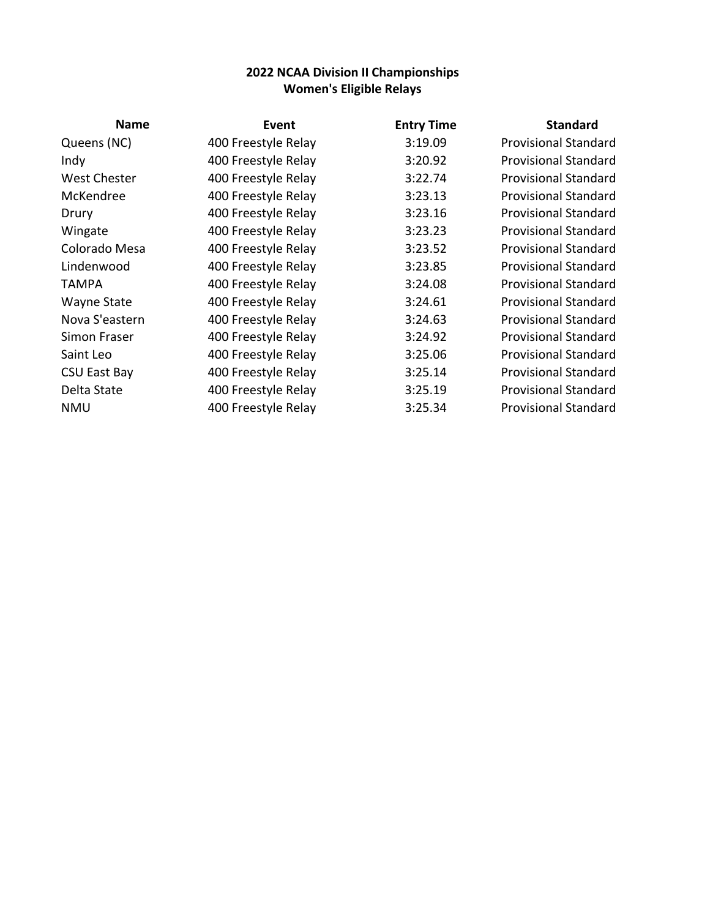| <b>Name</b>         | Event               | <b>Entry Time</b> | <b>Standard</b>             |
|---------------------|---------------------|-------------------|-----------------------------|
| Queens (NC)         | 400 Freestyle Relay | 3:19.09           | <b>Provisional Standard</b> |
| Indy                | 400 Freestyle Relay | 3:20.92           | <b>Provisional Standard</b> |
| <b>West Chester</b> | 400 Freestyle Relay | 3:22.74           | <b>Provisional Standard</b> |
| McKendree           | 400 Freestyle Relay | 3:23.13           | <b>Provisional Standard</b> |
| Drury               | 400 Freestyle Relay | 3:23.16           | <b>Provisional Standard</b> |
| Wingate             | 400 Freestyle Relay | 3:23.23           | <b>Provisional Standard</b> |
| Colorado Mesa       | 400 Freestyle Relay | 3:23.52           | <b>Provisional Standard</b> |
| Lindenwood          | 400 Freestyle Relay | 3:23.85           | <b>Provisional Standard</b> |
| <b>TAMPA</b>        | 400 Freestyle Relay | 3:24.08           | <b>Provisional Standard</b> |
| Wayne State         | 400 Freestyle Relay | 3:24.61           | <b>Provisional Standard</b> |
| Nova S'eastern      | 400 Freestyle Relay | 3:24.63           | <b>Provisional Standard</b> |
| Simon Fraser        | 400 Freestyle Relay | 3:24.92           | <b>Provisional Standard</b> |
| Saint Leo           | 400 Freestyle Relay | 3:25.06           | <b>Provisional Standard</b> |
| CSU East Bay        | 400 Freestyle Relay | 3:25.14           | <b>Provisional Standard</b> |
| Delta State         | 400 Freestyle Relay | 3:25.19           | <b>Provisional Standard</b> |
| <b>NMU</b>          | 400 Freestyle Relay | 3:25.34           | <b>Provisional Standard</b> |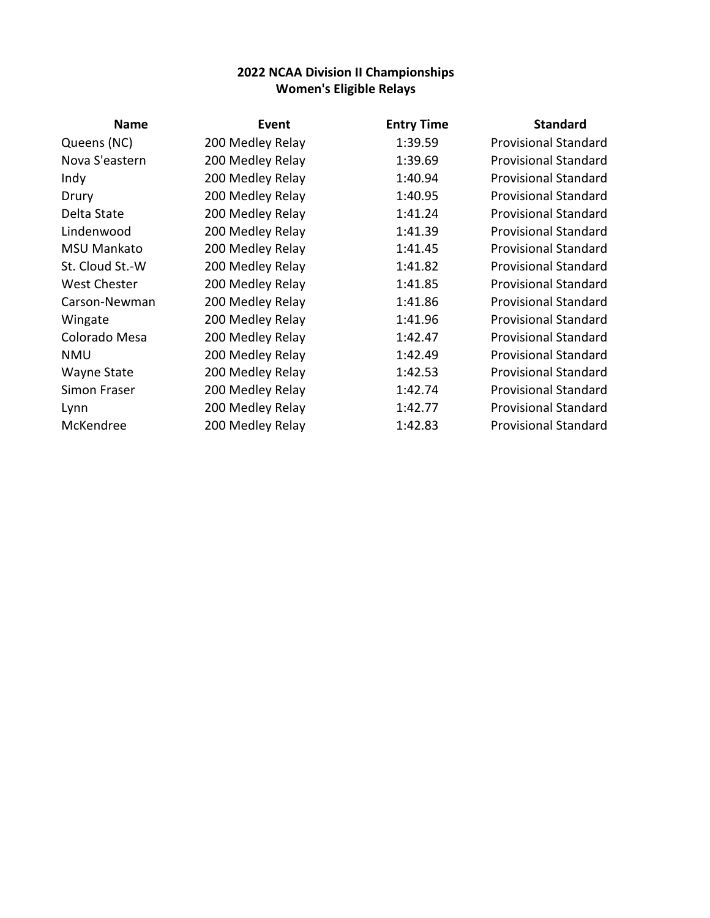| <b>Name</b>         | <b>Event</b>     | <b>Entry Time</b> | <b>Standard</b>             |
|---------------------|------------------|-------------------|-----------------------------|
| Queens (NC)         | 200 Medley Relay | 1:39.59           | <b>Provisional Standard</b> |
| Nova S'eastern      | 200 Medley Relay | 1:39.69           | <b>Provisional Standard</b> |
| Indy                | 200 Medley Relay | 1:40.94           | <b>Provisional Standard</b> |
| Drury               | 200 Medley Relay | 1:40.95           | <b>Provisional Standard</b> |
| Delta State         | 200 Medley Relay | 1:41.24           | <b>Provisional Standard</b> |
| Lindenwood          | 200 Medley Relay | 1:41.39           | <b>Provisional Standard</b> |
| <b>MSU Mankato</b>  | 200 Medley Relay | 1:41.45           | <b>Provisional Standard</b> |
| St. Cloud St.-W     | 200 Medley Relay | 1:41.82           | <b>Provisional Standard</b> |
| <b>West Chester</b> | 200 Medley Relay | 1:41.85           | <b>Provisional Standard</b> |
| Carson-Newman       | 200 Medley Relay | 1:41.86           | <b>Provisional Standard</b> |
| Wingate             | 200 Medley Relay | 1:41.96           | <b>Provisional Standard</b> |
| Colorado Mesa       | 200 Medley Relay | 1:42.47           | <b>Provisional Standard</b> |
| <b>NMU</b>          | 200 Medley Relay | 1:42.49           | <b>Provisional Standard</b> |
| Wayne State         | 200 Medley Relay | 1:42.53           | <b>Provisional Standard</b> |
| Simon Fraser        | 200 Medley Relay | 1:42.74           | <b>Provisional Standard</b> |
| Lynn                | 200 Medley Relay | 1:42.77           | <b>Provisional Standard</b> |
| McKendree           | 200 Medley Relay | 1:42.83           | <b>Provisional Standard</b> |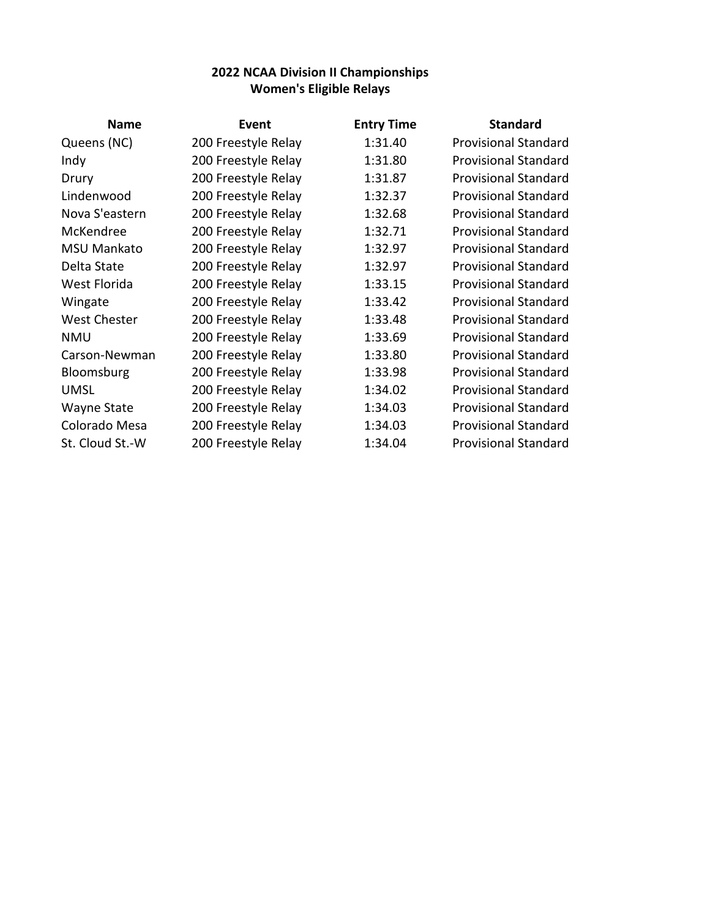| <b>Name</b>         | Event               | <b>Entry Time</b> | <b>Standard</b>             |
|---------------------|---------------------|-------------------|-----------------------------|
| Queens (NC)         | 200 Freestyle Relay | 1:31.40           | <b>Provisional Standard</b> |
| Indy                | 200 Freestyle Relay | 1:31.80           | <b>Provisional Standard</b> |
| Drury               | 200 Freestyle Relay | 1:31.87           | <b>Provisional Standard</b> |
| Lindenwood          | 200 Freestyle Relay | 1:32.37           | <b>Provisional Standard</b> |
| Nova S'eastern      | 200 Freestyle Relay | 1:32.68           | <b>Provisional Standard</b> |
| McKendree           | 200 Freestyle Relay | 1:32.71           | <b>Provisional Standard</b> |
| <b>MSU Mankato</b>  | 200 Freestyle Relay | 1:32.97           | <b>Provisional Standard</b> |
| Delta State         | 200 Freestyle Relay | 1:32.97           | <b>Provisional Standard</b> |
| West Florida        | 200 Freestyle Relay | 1:33.15           | <b>Provisional Standard</b> |
| Wingate             | 200 Freestyle Relay | 1:33.42           | <b>Provisional Standard</b> |
| <b>West Chester</b> | 200 Freestyle Relay | 1:33.48           | <b>Provisional Standard</b> |
| <b>NMU</b>          | 200 Freestyle Relay | 1:33.69           | <b>Provisional Standard</b> |
| Carson-Newman       | 200 Freestyle Relay | 1:33.80           | <b>Provisional Standard</b> |
| Bloomsburg          | 200 Freestyle Relay | 1:33.98           | <b>Provisional Standard</b> |
| <b>UMSL</b>         | 200 Freestyle Relay | 1:34.02           | <b>Provisional Standard</b> |
| Wayne State         | 200 Freestyle Relay | 1:34.03           | <b>Provisional Standard</b> |
| Colorado Mesa       | 200 Freestyle Relay | 1:34.03           | <b>Provisional Standard</b> |
| St. Cloud St.-W     | 200 Freestyle Relay | 1:34.04           | <b>Provisional Standard</b> |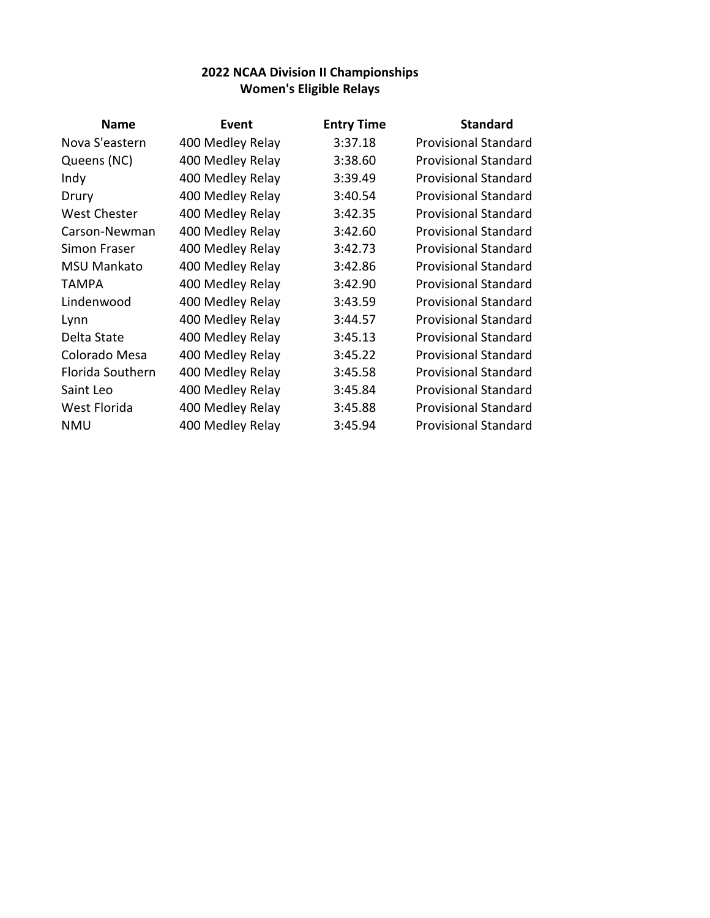| <b>Name</b>        | Event            | <b>Entry Time</b> | <b>Standard</b>             |
|--------------------|------------------|-------------------|-----------------------------|
| Nova S'eastern     | 400 Medley Relay | 3:37.18           | <b>Provisional Standard</b> |
| Queens (NC)        | 400 Medley Relay | 3:38.60           | <b>Provisional Standard</b> |
| Indy               | 400 Medley Relay | 3:39.49           | <b>Provisional Standard</b> |
| Drury              | 400 Medley Relay | 3:40.54           | <b>Provisional Standard</b> |
| West Chester       | 400 Medley Relay | 3:42.35           | <b>Provisional Standard</b> |
| Carson-Newman      | 400 Medley Relay | 3:42.60           | <b>Provisional Standard</b> |
| Simon Fraser       | 400 Medley Relay | 3:42.73           | <b>Provisional Standard</b> |
| <b>MSU Mankato</b> | 400 Medley Relay | 3:42.86           | <b>Provisional Standard</b> |
| <b>TAMPA</b>       | 400 Medley Relay | 3:42.90           | <b>Provisional Standard</b> |
| Lindenwood         | 400 Medley Relay | 3:43.59           | <b>Provisional Standard</b> |
| Lynn               | 400 Medley Relay | 3:44.57           | <b>Provisional Standard</b> |
| Delta State        | 400 Medley Relay | 3:45.13           | <b>Provisional Standard</b> |
| Colorado Mesa      | 400 Medley Relay | 3:45.22           | <b>Provisional Standard</b> |
| Florida Southern   | 400 Medley Relay | 3:45.58           | <b>Provisional Standard</b> |
| Saint Leo          | 400 Medley Relay | 3:45.84           | <b>Provisional Standard</b> |
| West Florida       | 400 Medley Relay | 3:45.88           | <b>Provisional Standard</b> |
| NMU                | 400 Medley Relay | 3:45.94           | <b>Provisional Standard</b> |